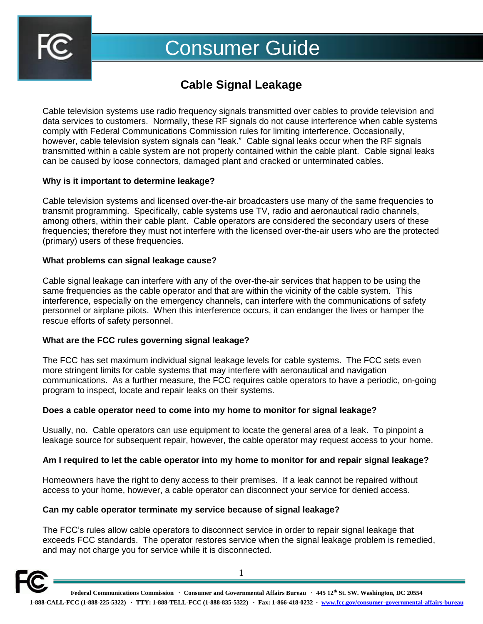

# Consumer Guide

# **Cable Signal Leakage**

Cable television systems use radio frequency signals transmitted over cables to provide television and data services to customers. Normally, these RF signals do not cause interference when cable systems comply with Federal Communications Commission rules for limiting interference. Occasionally, however, cable television system signals can "leak." Cable signal leaks occur when the RF signals transmitted within a cable system are not properly contained within the cable plant. Cable signal leaks can be caused by loose connectors, damaged plant and cracked or unterminated cables.

# **Why is it important to determine leakage?**

Cable television systems and licensed over-the-air broadcasters use many of the same frequencies to transmit programming. Specifically, cable systems use TV, radio and aeronautical radio channels, among others, within their cable plant. Cable operators are considered the secondary users of these frequencies; therefore they must not interfere with the licensed over-the-air users who are the protected (primary) users of these frequencies.

# **What problems can signal leakage cause?**

Cable signal leakage can interfere with any of the over-the-air services that happen to be using the same frequencies as the cable operator and that are within the vicinity of the cable system. This interference, especially on the emergency channels, can interfere with the communications of safety personnel or airplane pilots. When this interference occurs, it can endanger the lives or hamper the rescue efforts of safety personnel.

# **What are the FCC rules governing signal leakage?**

The FCC has set maximum individual signal leakage levels for cable systems. The FCC sets even more stringent limits for cable systems that may interfere with aeronautical and navigation communications. As a further measure, the FCC requires cable operators to have a periodic, on-going program to inspect, locate and repair leaks on their systems.

# **Does a cable operator need to come into my home to monitor for signal leakage?**

Usually, no. Cable operators can use equipment to locate the general area of a leak. To pinpoint a leakage source for subsequent repair, however, the cable operator may request access to your home.

# **Am I required to let the cable operator into my home to monitor for and repair signal leakage?**

Homeowners have the right to deny access to their premises. If a leak cannot be repaired without access to your home, however, a cable operator can disconnect your service for denied access.

# **Can my cable operator terminate my service because of signal leakage?**

The FCC's rules allow cable operators to disconnect service in order to repair signal leakage that exceeds FCC standards. The operator restores service when the signal leakage problem is remedied, and may not charge you for service while it is disconnected.